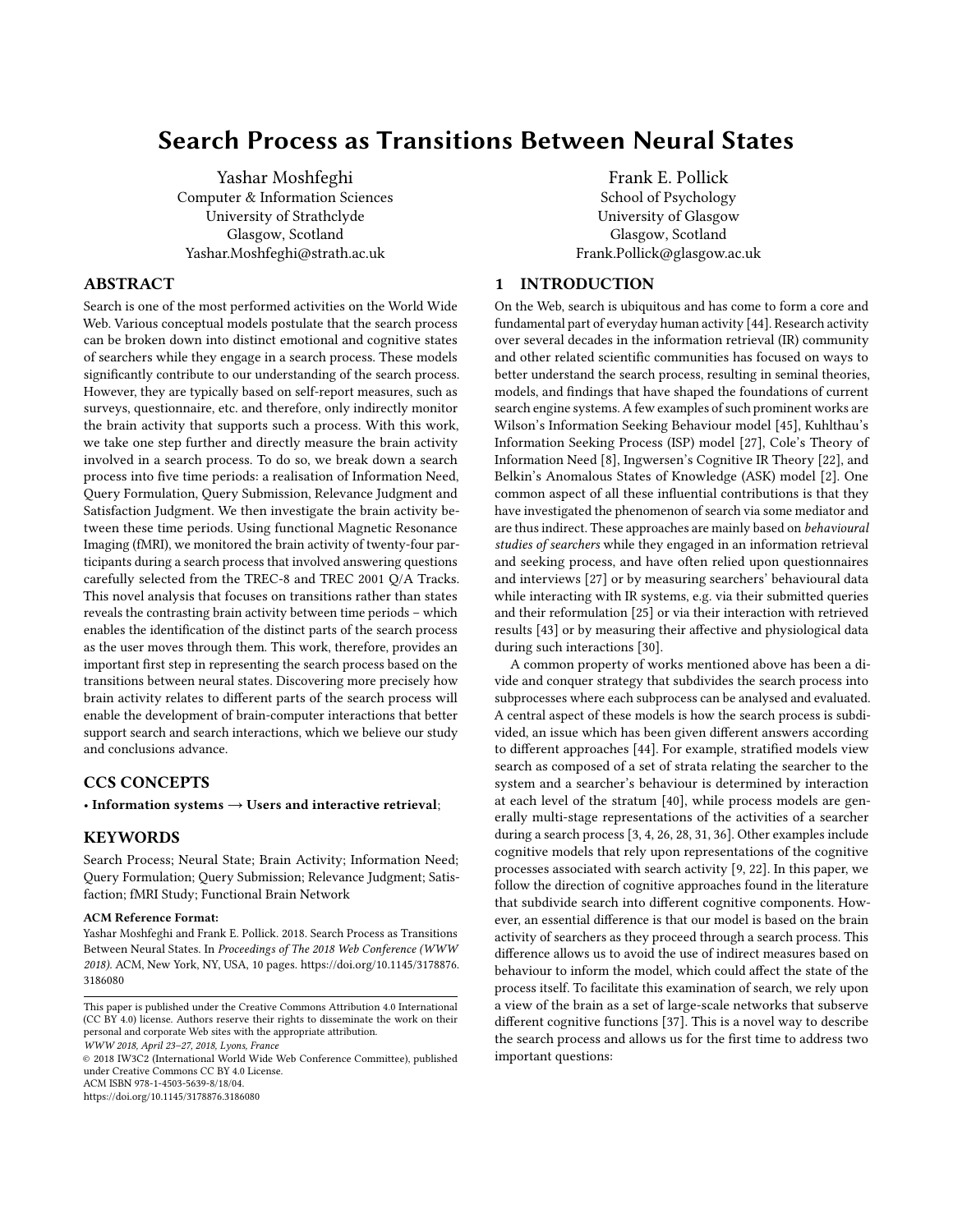# Search Process as Transitions Between Neural States

Yashar Moshfeghi Computer & Information Sciences University of Strathclyde Glasgow, Scotland Yashar.Moshfeghi@strath.ac.uk

Frank E. Pollick School of Psychology University of Glasgow Glasgow, Scotland Frank.Pollick@glasgow.ac.uk

## 1 INTRODUCTION

Search is one of the most performed activities on the World Wide Web. Various conceptual models postulate that the search process can be broken down into distinct emotional and cognitive states of searchers while they engage in a search process. These models significantly contribute to our understanding of the search process. However, they are typically based on self-report measures, such as surveys, questionnaire, etc. and therefore, only indirectly monitor the brain activity that supports such a process. With this work, we take one step further and directly measure the brain activity involved in a search process. To do so, we break down a search process into five time periods: a realisation of Information Need, Query Formulation, Query Submission, Relevance Judgment and Satisfaction Judgment. We then investigate the brain activity between these time periods. Using functional Magnetic Resonance Imaging (fMRI), we monitored the brain activity of twenty-four participants during a search process that involved answering questions carefully selected from the TREC-8 and TREC 2001 Q/A Tracks. This novel analysis that focuses on transitions rather than states reveals the contrasting brain activity between time periods – which enables the identification of the distinct parts of the search process as the user moves through them. This work, therefore, provides an important first step in representing the search process based on the transitions between neural states. Discovering more precisely how brain activity relates to different parts of the search process will enable the development of brain-computer interactions that better support search and search interactions, which we believe our study and conclusions advance.

# CCS CONCEPTS

• Information systems  $\rightarrow$  Users and interactive retrieval;

## **KEYWORDS**

ABSTRACT

Search Process; Neural State; Brain Activity; Information Need; Query Formulation; Query Submission; Relevance Judgment; Satisfaction; fMRI Study; Functional Brain Network

#### ACM Reference Format:

Yashar Moshfeghi and Frank E. Pollick. 2018. Search Process as Transitions Between Neural States. In Proceedings of The 2018 Web Conference (WWW 2018). ACM, New York, NY, USA, [10](#page-9-0) pages. [https://doi.org/10.1145/3178876.](https://doi.org/10.1145/3178876.3186080) [3186080](https://doi.org/10.1145/3178876.3186080)

© 2018 IW3C2 (International World Wide Web Conference Committee), published under Creative Commons CC BY 4.0 License. ACM ISBN 978-1-4503-5639-8/18/04.

<https://doi.org/10.1145/3178876.3186080>

On the Web, search is ubiquitous and has come to form a core and fundamental part of everyday human activity [\[44\]](#page-9-1). Research activity over several decades in the information retrieval (IR) community and other related scientific communities has focused on ways to better understand the search process, resulting in seminal theories, models, and findings that have shaped the foundations of current search engine systems. A few examples of such prominent works are Wilson's Information Seeking Behaviour model [\[45\]](#page-9-2), Kuhlthau's Information Seeking Process (ISP) model [\[27\]](#page-9-3), Cole's Theory of Information Need [\[8\]](#page-9-4), Ingwersen's Cognitive IR Theory [\[22\]](#page-9-5), and Belkin's Anomalous States of Knowledge (ASK) model [\[2\]](#page-9-6). One common aspect of all these influential contributions is that they have investigated the phenomenon of search via some mediator and are thus indirect. These approaches are mainly based on behavioural studies of searchers while they engaged in an information retrieval and seeking process, and have often relied upon questionnaires and interviews [\[27\]](#page-9-3) or by measuring searchers' behavioural data while interacting with IR systems, e.g. via their submitted queries and their reformulation [\[25\]](#page-9-7) or via their interaction with retrieved results [\[43\]](#page-9-8) or by measuring their affective and physiological data during such interactions [\[30\]](#page-9-9).

A common property of works mentioned above has been a divide and conquer strategy that subdivides the search process into subprocesses where each subprocess can be analysed and evaluated. A central aspect of these models is how the search process is subdivided, an issue which has been given different answers according to different approaches [\[44\]](#page-9-1). For example, stratified models view search as composed of a set of strata relating the searcher to the system and a searcher's behaviour is determined by interaction at each level of the stratum [\[40\]](#page-9-10), while process models are generally multi-stage representations of the activities of a searcher during a search process [\[3,](#page-9-11) [4,](#page-9-12) [26,](#page-9-13) [28,](#page-9-14) [31,](#page-9-15) [36\]](#page-9-16). Other examples include cognitive models that rely upon representations of the cognitive processes associated with search activity [\[9,](#page-9-17) [22\]](#page-9-5). In this paper, we follow the direction of cognitive approaches found in the literature that subdivide search into different cognitive components. However, an essential difference is that our model is based on the brain activity of searchers as they proceed through a search process. This difference allows us to avoid the use of indirect measures based on behaviour to inform the model, which could affect the state of the process itself. To facilitate this examination of search, we rely upon a view of the brain as a set of large-scale networks that subserve different cognitive functions [\[37\]](#page-9-18). This is a novel way to describe the search process and allows us for the first time to address two important questions:

This paper is published under the Creative Commons Attribution 4.0 International (CC BY 4.0) license. Authors reserve their rights to disseminate the work on their personal and corporate Web sites with the appropriate attribution. WWW 2018, April 23–27, 2018, Lyons, France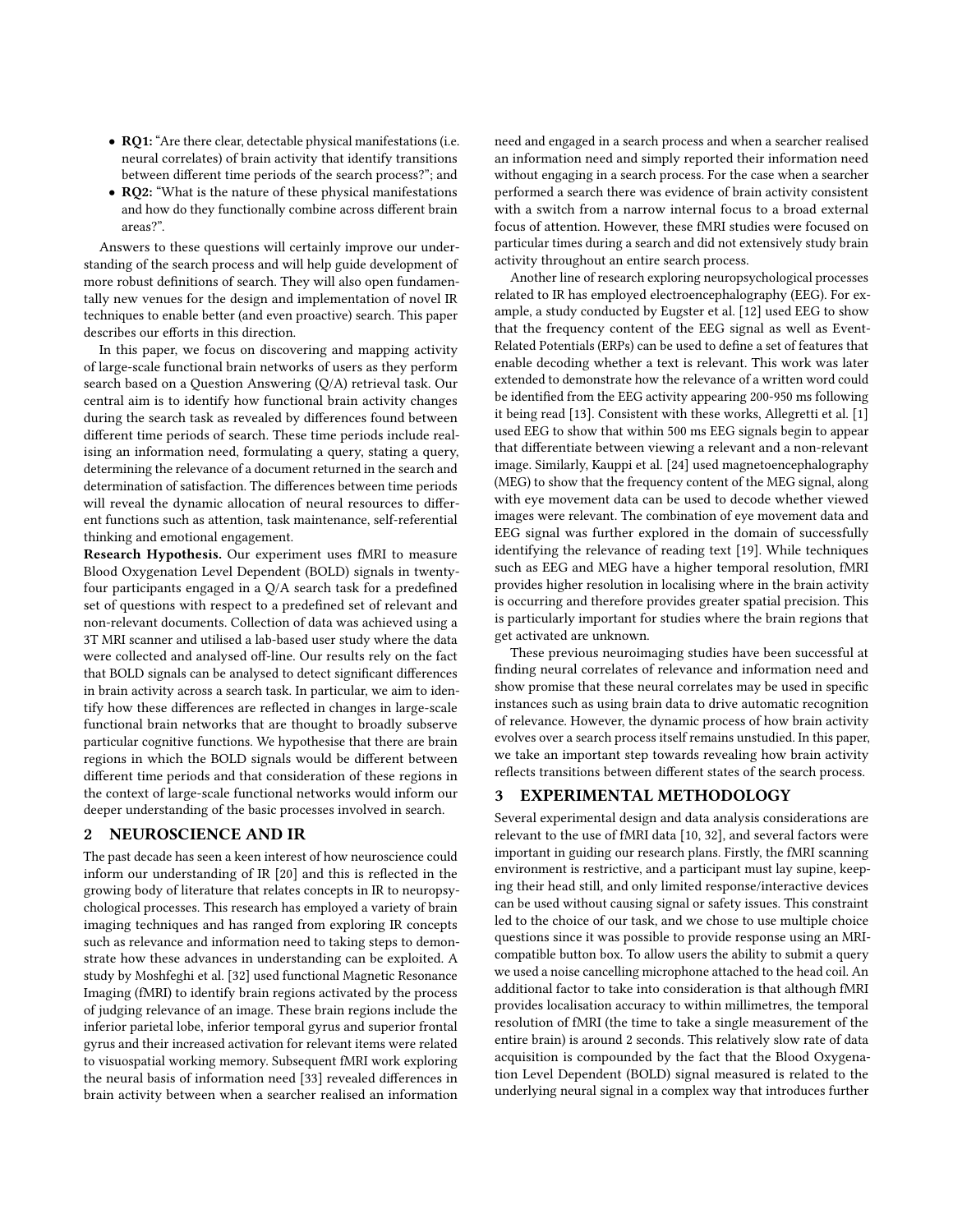- RQ1: "Are there clear, detectable physical manifestations (i.e. neural correlates) of brain activity that identify transitions between different time periods of the search process?"; and
- RQ2: "What is the nature of these physical manifestations and how do they functionally combine across different brain areas?".

Answers to these questions will certainly improve our understanding of the search process and will help guide development of more robust definitions of search. They will also open fundamentally new venues for the design and implementation of novel IR techniques to enable better (and even proactive) search. This paper describes our efforts in this direction.

In this paper, we focus on discovering and mapping activity of large-scale functional brain networks of users as they perform search based on a Question Answering (Q/A) retrieval task. Our central aim is to identify how functional brain activity changes during the search task as revealed by differences found between different time periods of search. These time periods include realising an information need, formulating a query, stating a query, determining the relevance of a document returned in the search and determination of satisfaction. The differences between time periods will reveal the dynamic allocation of neural resources to different functions such as attention, task maintenance, self-referential thinking and emotional engagement.

Research Hypothesis. Our experiment uses fMRI to measure Blood Oxygenation Level Dependent (BOLD) signals in twentyfour participants engaged in a Q/A search task for a predefined set of questions with respect to a predefined set of relevant and non-relevant documents. Collection of data was achieved using a 3T MRI scanner and utilised a lab-based user study where the data were collected and analysed off-line. Our results rely on the fact that BOLD signals can be analysed to detect significant differences in brain activity across a search task. In particular, we aim to identify how these differences are reflected in changes in large-scale functional brain networks that are thought to broadly subserve particular cognitive functions. We hypothesise that there are brain regions in which the BOLD signals would be different between different time periods and that consideration of these regions in the context of large-scale functional networks would inform our deeper understanding of the basic processes involved in search.

## 2 NEUROSCIENCE AND IR

The past decade has seen a keen interest of how neuroscience could inform our understanding of IR [\[20\]](#page-9-19) and this is reflected in the growing body of literature that relates concepts in IR to neuropsychological processes. This research has employed a variety of brain imaging techniques and has ranged from exploring IR concepts such as relevance and information need to taking steps to demonstrate how these advances in understanding can be exploited. A study by Moshfeghi et al. [\[32\]](#page-9-20) used functional Magnetic Resonance Imaging (fMRI) to identify brain regions activated by the process of judging relevance of an image. These brain regions include the inferior parietal lobe, inferior temporal gyrus and superior frontal gyrus and their increased activation for relevant items were related to visuospatial working memory. Subsequent fMRI work exploring the neural basis of information need [\[33\]](#page-9-21) revealed differences in brain activity between when a searcher realised an information

need and engaged in a search process and when a searcher realised an information need and simply reported their information need without engaging in a search process. For the case when a searcher performed a search there was evidence of brain activity consistent with a switch from a narrow internal focus to a broad external focus of attention. However, these fMRI studies were focused on particular times during a search and did not extensively study brain activity throughout an entire search process.

Another line of research exploring neuropsychological processes related to IR has employed electroencephalography (EEG). For example, a study conducted by Eugster et al. [\[12\]](#page-9-22) used EEG to show that the frequency content of the EEG signal as well as Event-Related Potentials (ERPs) can be used to define a set of features that enable decoding whether a text is relevant. This work was later extended to demonstrate how the relevance of a written word could be identified from the EEG activity appearing 200-950 ms following it being read [\[13\]](#page-9-23). Consistent with these works, Allegretti et al. [\[1\]](#page-9-24) used EEG to show that within 500 ms EEG signals begin to appear that differentiate between viewing a relevant and a non-relevant image. Similarly, Kauppi et al. [\[24\]](#page-9-25) used magnetoencephalography (MEG) to show that the frequency content of the MEG signal, along with eye movement data can be used to decode whether viewed images were relevant. The combination of eye movement data and EEG signal was further explored in the domain of successfully identifying the relevance of reading text [\[19\]](#page-9-26). While techniques such as EEG and MEG have a higher temporal resolution, fMRI provides higher resolution in localising where in the brain activity is occurring and therefore provides greater spatial precision. This is particularly important for studies where the brain regions that get activated are unknown.

These previous neuroimaging studies have been successful at finding neural correlates of relevance and information need and show promise that these neural correlates may be used in specific instances such as using brain data to drive automatic recognition of relevance. However, the dynamic process of how brain activity evolves over a search process itself remains unstudied. In this paper, we take an important step towards revealing how brain activity reflects transitions between different states of the search process.

## 3 EXPERIMENTAL METHODOLOGY

Several experimental design and data analysis considerations are relevant to the use of fMRI data [\[10,](#page-9-27) [32\]](#page-9-20), and several factors were important in guiding our research plans. Firstly, the fMRI scanning environment is restrictive, and a participant must lay supine, keeping their head still, and only limited response/interactive devices can be used without causing signal or safety issues. This constraint led to the choice of our task, and we chose to use multiple choice questions since it was possible to provide response using an MRIcompatible button box. To allow users the ability to submit a query we used a noise cancelling microphone attached to the head coil. An additional factor to take into consideration is that although fMRI provides localisation accuracy to within millimetres, the temporal resolution of fMRI (the time to take a single measurement of the entire brain) is around 2 seconds. This relatively slow rate of data acquisition is compounded by the fact that the Blood Oxygenation Level Dependent (BOLD) signal measured is related to the underlying neural signal in a complex way that introduces further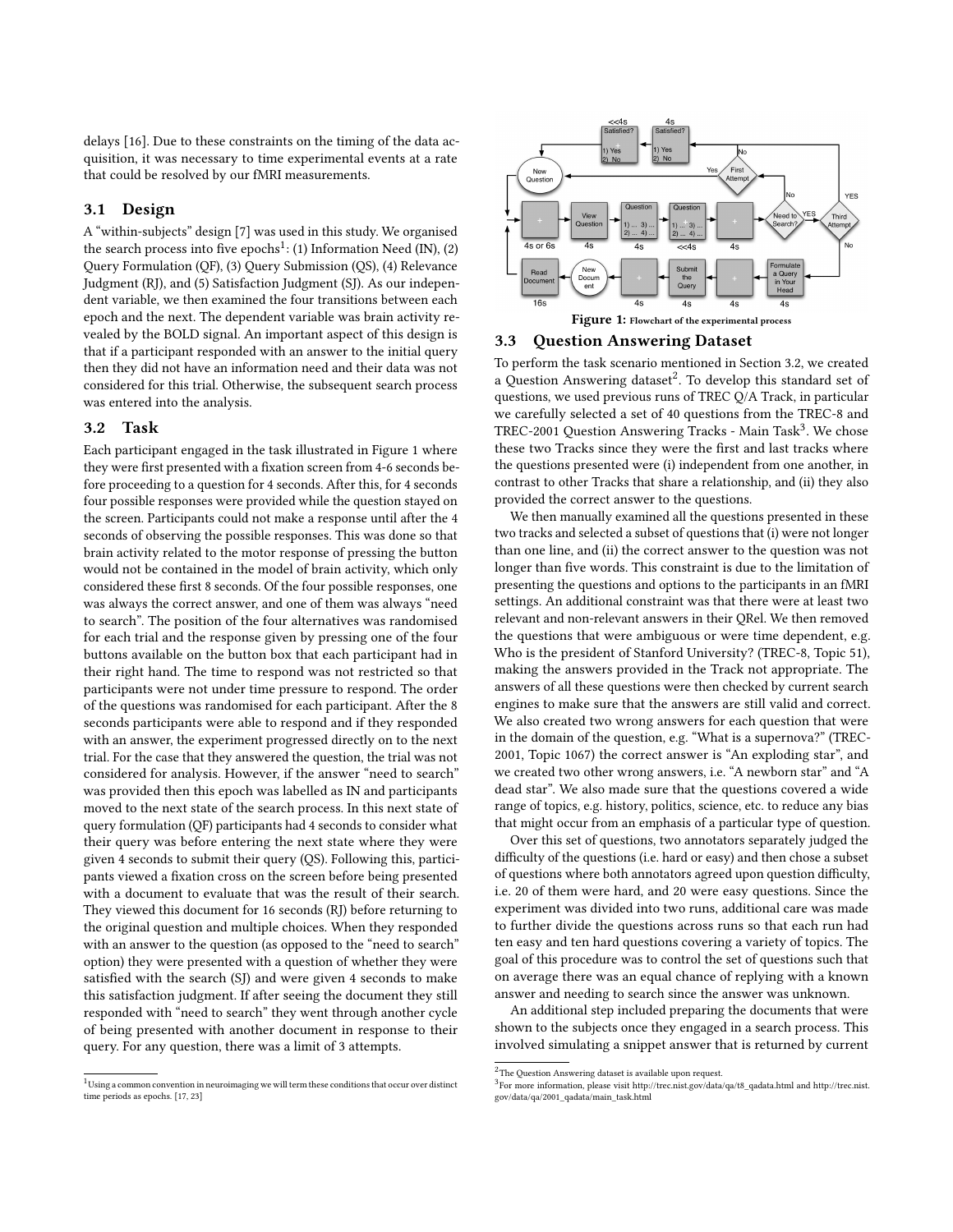delays [\[16\]](#page-9-28). Due to these constraints on the timing of the data acquisition, it was necessary to time experimental events at a rate that could be resolved by our fMRI measurements.

## 3.1 Design

A "within-subjects" design [\[7\]](#page-9-29) was used in this study. We organised the search process into five epochs $^1$  $^1$ : (1) Information Need (IN), (2) Query Formulation (QF), (3) Query Submission (QS), (4) Relevance Judgment (RJ), and (5) Satisfaction Judgment (SJ). As our independent variable, we then examined the four transitions between each epoch and the next. The dependent variable was brain activity revealed by the BOLD signal. An important aspect of this design is that if a participant responded with an answer to the initial query then they did not have an information need and their data was not considered for this trial. Otherwise, the subsequent search process was entered into the analysis.

## <span id="page-2-2"></span>3.2 Task

Each participant engaged in the task illustrated in Figure [1](#page-2-1) where they were first presented with a fixation screen from 4-6 seconds before proceeding to a question for 4 seconds. After this, for 4 seconds four possible responses were provided while the question stayed on the screen. Participants could not make a response until after the 4 seconds of observing the possible responses. This was done so that brain activity related to the motor response of pressing the button would not be contained in the model of brain activity, which only considered these first 8 seconds. Of the four possible responses, one was always the correct answer, and one of them was always "need to search". The position of the four alternatives was randomised for each trial and the response given by pressing one of the four buttons available on the button box that each participant had in their right hand. The time to respond was not restricted so that participants were not under time pressure to respond. The order of the questions was randomised for each participant. After the 8 seconds participants were able to respond and if they responded with an answer, the experiment progressed directly on to the next trial. For the case that they answered the question, the trial was not considered for analysis. However, if the answer "need to search" was provided then this epoch was labelled as IN and participants moved to the next state of the search process. In this next state of query formulation (QF) participants had 4 seconds to consider what their query was before entering the next state where they were given 4 seconds to submit their query (QS). Following this, participants viewed a fixation cross on the screen before being presented with a document to evaluate that was the result of their search. They viewed this document for 16 seconds (RJ) before returning to the original question and multiple choices. When they responded with an answer to the question (as opposed to the "need to search" option) they were presented with a question of whether they were satisfied with the search (SJ) and were given 4 seconds to make this satisfaction judgment. If after seeing the document they still responded with "need to search" they went through another cycle of being presented with another document in response to their query. For any question, there was a limit of 3 attempts.

<span id="page-2-0"></span>

<span id="page-2-1"></span>

#### 3.3 Question Answering Dataset

To perform the task scenario mentioned in Section [3.2,](#page-2-2) we created a Question Answering dataset<sup>[2](#page-2-3)</sup>. To develop this standard set of questions, we used previous runs of TREC Q/A Track, in particular we carefully selected a set of 40 questions from the TREC-8 and TREC-2001 Question Answering Tracks - Main Task<sup>[3](#page-2-4)</sup>. We chose these two Tracks since they were the first and last tracks where the questions presented were (i) independent from one another, in contrast to other Tracks that share a relationship, and (ii) they also provided the correct answer to the questions.

We then manually examined all the questions presented in these two tracks and selected a subset of questions that (i) were not longer than one line, and (ii) the correct answer to the question was not longer than five words. This constraint is due to the limitation of presenting the questions and options to the participants in an fMRI settings. An additional constraint was that there were at least two relevant and non-relevant answers in their QRel. We then removed the questions that were ambiguous or were time dependent, e.g. Who is the president of Stanford University? (TREC-8, Topic 51), making the answers provided in the Track not appropriate. The answers of all these questions were then checked by current search engines to make sure that the answers are still valid and correct. We also created two wrong answers for each question that were in the domain of the question, e.g. "What is a supernova?" (TREC-2001, Topic 1067) the correct answer is "An exploding star", and we created two other wrong answers, i.e. "A newborn star" and "A dead star". We also made sure that the questions covered a wide range of topics, e.g. history, politics, science, etc. to reduce any bias that might occur from an emphasis of a particular type of question.

Over this set of questions, two annotators separately judged the difficulty of the questions (i.e. hard or easy) and then chose a subset of questions where both annotators agreed upon question difficulty, i.e. 20 of them were hard, and 20 were easy questions. Since the experiment was divided into two runs, additional care was made to further divide the questions across runs so that each run had ten easy and ten hard questions covering a variety of topics. The goal of this procedure was to control the set of questions such that on average there was an equal chance of replying with a known answer and needing to search since the answer was unknown.

An additional step included preparing the documents that were shown to the subjects once they engaged in a search process. This involved simulating a snippet answer that is returned by current

<span id="page-2-3"></span><sup>2</sup>The Question Answering dataset is available upon request.

<span id="page-2-4"></span><sup>3</sup> For more information, please visit [http://trec.nist.gov/data/qa/t8\\_qadata.html](http://trec.nist.gov/data/qa/t8_qadata.html) and [http://trec.nist.](http://trec.nist.gov/data/qa/2001_qadata/main_task.html) [gov/data/qa/2001\\_qadata/main\\_task.html](http://trec.nist.gov/data/qa/2001_qadata/main_task.html)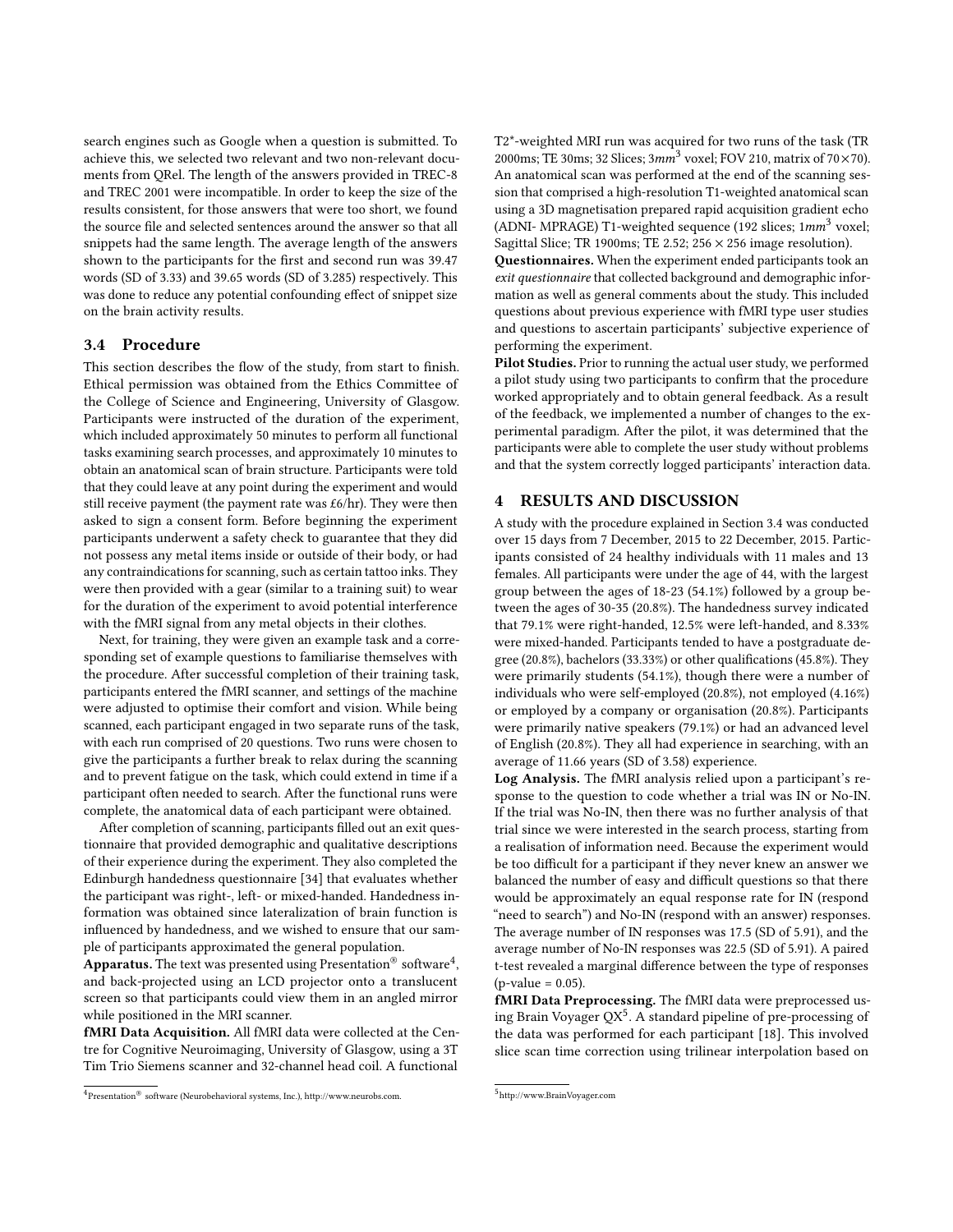search engines such as Google when a question is submitted. To achieve this, we selected two relevant and two non-relevant documents from QRel. The length of the answers provided in TREC-8 and TREC 2001 were incompatible. In order to keep the size of the results consistent, for those answers that were too short, we found the source file and selected sentences around the answer so that all snippets had the same length. The average length of the answers shown to the participants for the first and second run was 39.47 words (SD of 3.33) and 39.65 words (SD of 3.285) respectively. This was done to reduce any potential confounding effect of snippet size on the brain activity results.

## <span id="page-3-1"></span>3.4 Procedure

This section describes the flow of the study, from start to finish. Ethical permission was obtained from the Ethics Committee of the College of Science and Engineering, University of Glasgow. Participants were instructed of the duration of the experiment, which included approximately 50 minutes to perform all functional tasks examining search processes, and approximately 10 minutes to obtain an anatomical scan of brain structure. Participants were told that they could leave at any point during the experiment and would still receive payment (the payment rate was £6/hr). They were then asked to sign a consent form. Before beginning the experiment participants underwent a safety check to guarantee that they did not possess any metal items inside or outside of their body, or had any contraindications for scanning, such as certain tattoo inks. They were then provided with a gear (similar to a training suit) to wear for the duration of the experiment to avoid potential interference with the fMRI signal from any metal objects in their clothes.

Next, for training, they were given an example task and a corresponding set of example questions to familiarise themselves with the procedure. After successful completion of their training task, participants entered the fMRI scanner, and settings of the machine were adjusted to optimise their comfort and vision. While being scanned, each participant engaged in two separate runs of the task, with each run comprised of 20 questions. Two runs were chosen to give the participants a further break to relax during the scanning and to prevent fatigue on the task, which could extend in time if a participant often needed to search. After the functional runs were complete, the anatomical data of each participant were obtained.

After completion of scanning, participants filled out an exit questionnaire that provided demographic and qualitative descriptions of their experience during the experiment. They also completed the Edinburgh handedness questionnaire [\[34\]](#page-9-32) that evaluates whether the participant was right-, left- or mixed-handed. Handedness information was obtained since lateralization of brain function is influenced by handedness, and we wished to ensure that our sample of participants approximated the general population.

 ${\bf Approx}_{\bf}$  apparatus. The text was presented using Presentation $^{\circledR}$  software $^4,$  $^4,$  $^4,$ and back-projected using an LCD projector onto a translucent screen so that participants could view them in an angled mirror while positioned in the MRI scanner.

fMRI Data Acquisition. All fMRI data were collected at the Centre for Cognitive Neuroimaging, University of Glasgow, using a 3T Tim Trio Siemens scanner and 32-channel head coil. A functional

T2\*-weighted MRI run was acquired for two runs of the task (TR 2000ms; TE 30ms; 32 Slices;  $3mm^3$  voxel; FOV 210, matrix of 70×70). An anatomical scan was performed at the end of the scanning session that comprised a high-resolution T1-weighted anatomical scan using a 3D magnetisation prepared rapid acquisition gradient echo (ADNI- MPRAGE) T1-weighted sequence (192 slices;  $1mm<sup>3</sup>$  voxel; Sagittal Slice; TR 1900ms; TE 2.52;  $256 \times 256$  image resolution).

Questionnaires. When the experiment ended participants took an exit questionnaire that collected background and demographic information as well as general comments about the study. This included questions about previous experience with fMRI type user studies and questions to ascertain participants' subjective experience of performing the experiment.

Pilot Studies. Prior to running the actual user study, we performed a pilot study using two participants to confirm that the procedure worked appropriately and to obtain general feedback. As a result of the feedback, we implemented a number of changes to the experimental paradigm. After the pilot, it was determined that the participants were able to complete the user study without problems and that the system correctly logged participants' interaction data.

#### 4 RESULTS AND DISCUSSION

A study with the procedure explained in Section [3.4](#page-3-1) was conducted over 15 days from 7 December, 2015 to 22 December, 2015. Participants consisted of 24 healthy individuals with 11 males and 13 females. All participants were under the age of 44, with the largest group between the ages of 18-23 (54.1%) followed by a group between the ages of 30-35 (20.8%). The handedness survey indicated that 79.1% were right-handed, 12.5% were left-handed, and 8.33% were mixed-handed. Participants tended to have a postgraduate degree (20.8%), bachelors (33.33%) or other qualifications (45.8%). They were primarily students (54.1%), though there were a number of individuals who were self-employed (20.8%), not employed (4.16%) or employed by a company or organisation (20.8%). Participants were primarily native speakers (79.1%) or had an advanced level of English (20.8%). They all had experience in searching, with an average of 11.66 years (SD of 3.58) experience.

Log Analysis. The fMRI analysis relied upon a participant's response to the question to code whether a trial was IN or No-IN. If the trial was No-IN, then there was no further analysis of that trial since we were interested in the search process, starting from a realisation of information need. Because the experiment would be too difficult for a participant if they never knew an answer we balanced the number of easy and difficult questions so that there would be approximately an equal response rate for IN (respond "need to search") and No-IN (respond with an answer) responses. The average number of IN responses was 17.5 (SD of 5.91), and the average number of No-IN responses was 22.5 (SD of 5.91). A paired t-test revealed a marginal difference between the type of responses  $(p-value = 0.05)$ .

fMRI Data Preprocessing. The fMRI data were preprocessed using Brain Voyager  $QX<sup>5</sup>$  $QX<sup>5</sup>$  $QX<sup>5</sup>$ . A standard pipeline of pre-processing of the data was performed for each participant [\[18\]](#page-9-33). This involved slice scan time correction using trilinear interpolation based on

<span id="page-3-0"></span><sup>4</sup> Presentation® software (Neurobehavioral systems, Inc.), [http://www.neurobs.com.](http://www.neurobs.com)

<span id="page-3-2"></span><sup>5</sup> <http://www.BrainVoyager.com>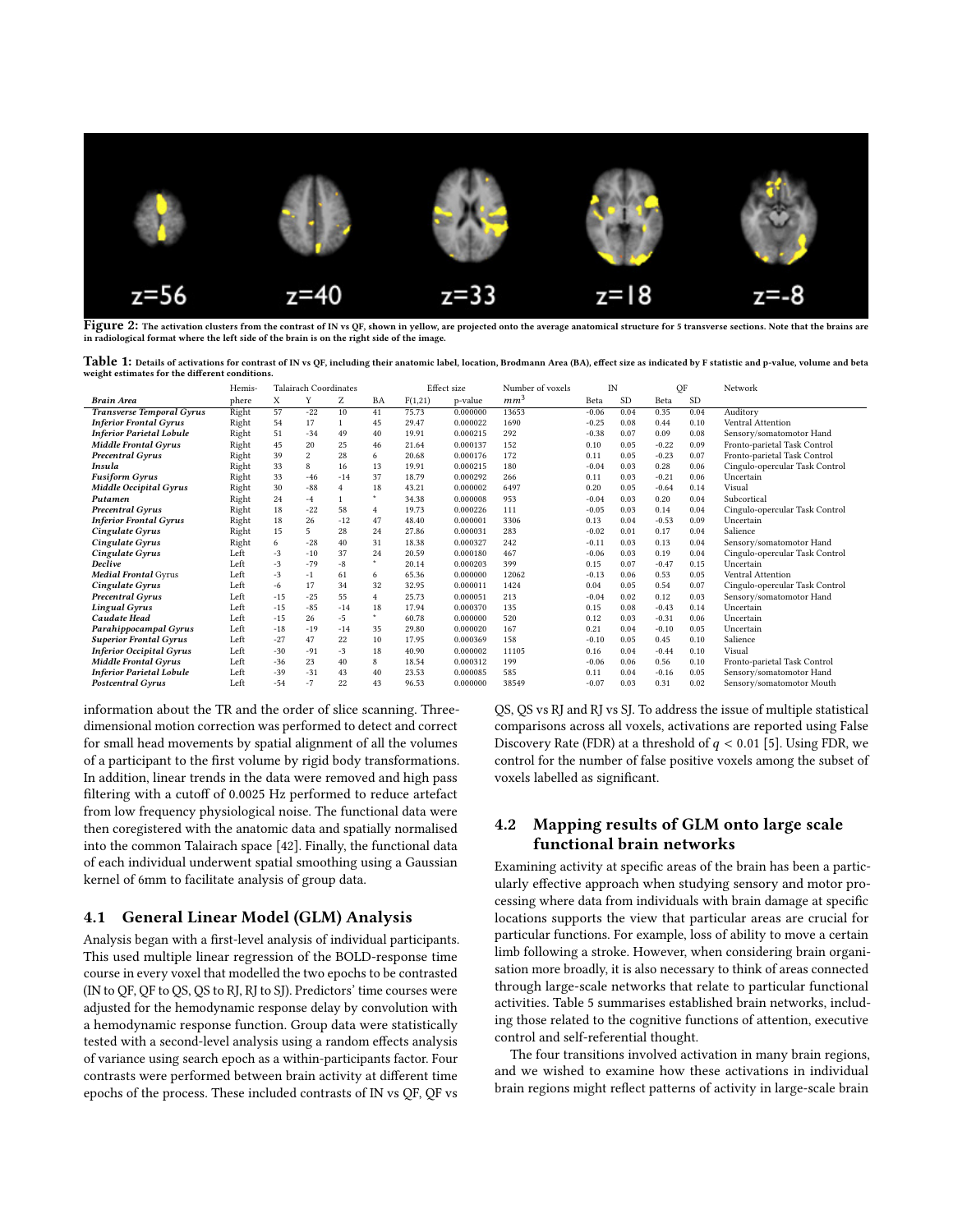<span id="page-4-1"></span>

Figure 2: The activation clusters from the contrast of IN vs QF, shown in yellow, are projected onto the average anatomical structure for 5 transverse sections. Note that the brains are in radiological format where the left side of the brain is on the right side of the image.

<span id="page-4-0"></span>Table 1: Details of activations for contrast of IN vs QF, including their anatomic label, location, Brodmann Area (BA), effect size as indicated by F statistic and p-value, volume and beta weight estimates for the different conditions.

|                                  | Hemis- | <b>Talairach Coordinates</b> |                | Effect size    |                | Number of voxels | IN       |                 | QF      |           | Network |           |                                |  |  |
|----------------------------------|--------|------------------------------|----------------|----------------|----------------|------------------|----------|-----------------|---------|-----------|---------|-----------|--------------------------------|--|--|
| <b>Brain Area</b>                | phere  | Χ                            | Y              | Z              | BA             | F(1,21)          | p-value  | mm <sup>3</sup> | Beta    | <b>SD</b> | Beta    | <b>SD</b> |                                |  |  |
| <b>Transverse Temporal Gyrus</b> | Right  | 57                           | $-22$          | 10             | 41             | 75.73            | 0.000000 | 13653           | $-0.06$ | 0.04      | 0.35    | 0.04      | Auditory                       |  |  |
| <b>Inferior Frontal Gyrus</b>    | Right  | 54                           | 17             | $\mathbf{1}$   | 45             | 29.47            | 0.000022 | 1690            | $-0.25$ | 0.08      | 0.44    | 0.10      | Ventral Attention              |  |  |
| <b>Inferior Parietal Lobule</b>  | Right  | 51                           | $-34$          | 49             | 40             | 19.91            | 0.000215 | 292             | $-0.38$ | 0.07      | 0.09    | 0.08      | Sensory/somatomotor Hand       |  |  |
| <b>Middle Frontal Gyrus</b>      | Right  | 45                           | 20             | 25             | 46             | 21.64            | 0.000137 | 152             | 0.10    | 0.05      | $-0.22$ | 0.09      | Fronto-parietal Task Control   |  |  |
| Precentral Gyrus                 | Right  | 39                           | $\overline{2}$ | 28             | 6              | 20.68            | 0.000176 | 172             | 0.11    | 0.05      | $-0.23$ | 0.07      | Fronto-parietal Task Control   |  |  |
| Insula                           | Right  | 33                           | 8              | 16             | 13             | 19.91            | 0.000215 | 180             | $-0.04$ | 0.03      | 0.28    | 0.06      | Cingulo-opercular Task Control |  |  |
| <b>Fusiform Gyrus</b>            | Right  | 33                           | $-46$          | $-14$          | 37             | 18.79            | 0.000292 | 266             | 0.11    | 0.03      | $-0.21$ | 0.06      | Uncertain                      |  |  |
| Middle Occipital Gyrus           | Right  | 30                           | $-88$          | $\overline{4}$ | 18             | 43.21            | 0.000002 | 6497            | 0.20    | 0.05      | $-0.64$ | 0.14      | Visual                         |  |  |
| Putamen                          | Right  | 24                           | $-4$           | 1              | $\star$        | 34.38            | 0.000008 | 953             | $-0.04$ | 0.03      | 0.20    | 0.04      | Subcortical                    |  |  |
| Precentral Gyrus                 | Right  | 18                           | $-22$          | 58             | $\overline{4}$ | 19.73            | 0.000226 | 111             | $-0.05$ | 0.03      | 0.14    | 0.04      | Cingulo-opercular Task Control |  |  |
| <b>Inferior Frontal Gyrus</b>    | Right  | 18                           | 26             | $-12$          | 47             | 48.40            | 0.000001 | 3306            | 0.13    | 0.04      | $-0.53$ | 0.09      | Uncertain                      |  |  |
| Cingulate Gyrus                  | Right  | 15                           | 5              | 28             | 24             | 27.86            | 0.000031 | 283             | $-0.02$ | 0.01      | 0.17    | 0.04      | Salience                       |  |  |
| Cingulate Gyrus                  | Right  | 6                            | $-28$          | 40             | 31             | 18.38            | 0.000327 | 242             | $-0.11$ | 0.03      | 0.13    | 0.04      | Sensory/somatomotor Hand       |  |  |
| <b>Cingulate Gyrus</b>           | Left   | $-3$                         | $-10$          | 37             | 24             | 20.59            | 0.000180 | 467             | $-0.06$ | 0.03      | 0.19    | 0.04      | Cingulo-opercular Task Control |  |  |
| Declive                          | Left   | $-3$                         | $-79$          | $-8$           | $\star$        | 20.14            | 0.000203 | 399             | 0.15    | 0.07      | $-0.47$ | 0.15      | Uncertain                      |  |  |
| <b>Medial Frontal Gyrus</b>      | Left   | $-3$                         | $-1$           | 61             | 6              | 65.36            | 0.000000 | 12062           | $-0.13$ | 0.06      | 0.53    | 0.05      | Ventral Attention              |  |  |
| Cingulate Gyrus                  | Left   | $-6$                         | 17             | 34             | 32             | 32.95            | 0.000011 | 1424            | 0.04    | 0.05      | 0.54    | 0.07      | Cingulo-opercular Task Control |  |  |
| Precentral Gyrus                 | Left   | $-15$                        | $-25$          | 55             | $\overline{4}$ | 25.73            | 0.000051 | 213             | $-0.04$ | 0.02      | 0.12    | 0.03      | Sensory/somatomotor Hand       |  |  |
| <b>Lingual Gyrus</b>             | Left   | $-15$                        | $-85$          | $-14$          | 18             | 17.94            | 0.000370 | 135             | 0.15    | 0.08      | $-0.43$ | 0.14      | Uncertain                      |  |  |
| Caudate Head                     | Left   | $-15$                        | 26             | $-5$           | $\star$        | 60.78            | 0.000000 | 520             | 0.12    | 0.03      | $-0.31$ | 0.06      | Uncertain                      |  |  |
| Parahippocampal Gyrus            | Left   | $-18$                        | $-19$          | $-14$          | 35             | 29.80            | 0.000020 | 167             | 0.21    | 0.04      | $-0.10$ | 0.05      | Uncertain                      |  |  |
| <b>Superior Frontal Gyrus</b>    | Left   | $-27$                        | 47             | 22             | 10             | 17.95            | 0.000369 | 158             | $-0.10$ | 0.05      | 0.45    | 0.10      | Salience                       |  |  |
| <b>Inferior Occipital Gyrus</b>  | Left   | $-30$                        | $-91$          | $-3$           | 18             | 40.90            | 0.000002 | 11105           | 0.16    | 0.04      | $-0.44$ | 0.10      | Visual                         |  |  |
| <b>Middle Frontal Gyrus</b>      | Left   | $-36$                        | 23             | 40             | 8              | 18.54            | 0.000312 | 199             | $-0.06$ | 0.06      | 0.56    | 0.10      | Fronto-parietal Task Control   |  |  |
| <b>Inferior Parietal Lobule</b>  | Left   | $-39$                        | $-31$          | 43             | 40             | 23.53            | 0.000085 | 585             | 0.11    | 0.04      | $-0.16$ | 0.05      | Sensory/somatomotor Hand       |  |  |
| Postcentral Gyrus                | Left   | $-54$                        | $-7$           | 22             | 43             | 96.53            | 0.000000 | 38549           | $-0.07$ | 0.03      | 0.31    | 0.02      | Sensory/somatomotor Mouth      |  |  |

information about the TR and the order of slice scanning. Threedimensional motion correction was performed to detect and correct for small head movements by spatial alignment of all the volumes of a participant to the first volume by rigid body transformations. In addition, linear trends in the data were removed and high pass filtering with a cutoff of 0.0025 Hz performed to reduce artefact from low frequency physiological noise. The functional data were then coregistered with the anatomic data and spatially normalised into the common Talairach space [\[42\]](#page-9-34). Finally, the functional data of each individual underwent spatial smoothing using a Gaussian kernel of 6mm to facilitate analysis of group data.

#### 4.1 General Linear Model (GLM) Analysis

Analysis began with a first-level analysis of individual participants. This used multiple linear regression of the BOLD-response time course in every voxel that modelled the two epochs to be contrasted (IN to QF, QF to QS, QS to RJ, RJ to SJ). Predictors' time courses were adjusted for the hemodynamic response delay by convolution with a hemodynamic response function. Group data were statistically tested with a second-level analysis using a random effects analysis of variance using search epoch as a within-participants factor. Four contrasts were performed between brain activity at different time epochs of the process. These included contrasts of IN vs QF, QF vs

QS, QS vs RJ and RJ vs SJ. To address the issue of multiple statistical comparisons across all voxels, activations are reported using False Discovery Rate (FDR) at a threshold of  $q < 0.01$  [\[5\]](#page-9-35). Using FDR, we control for the number of false positive voxels among the subset of voxels labelled as significant.

# 4.2 Mapping results of GLM onto large scale functional brain networks

Examining activity at specific areas of the brain has been a particularly effective approach when studying sensory and motor processing where data from individuals with brain damage at specific locations supports the view that particular areas are crucial for particular functions. For example, loss of ability to move a certain limb following a stroke. However, when considering brain organisation more broadly, it is also necessary to think of areas connected through large-scale networks that relate to particular functional activities. Table [5](#page-7-0) summarises established brain networks, including those related to the cognitive functions of attention, executive control and self-referential thought.

The four transitions involved activation in many brain regions, and we wished to examine how these activations in individual brain regions might reflect patterns of activity in large-scale brain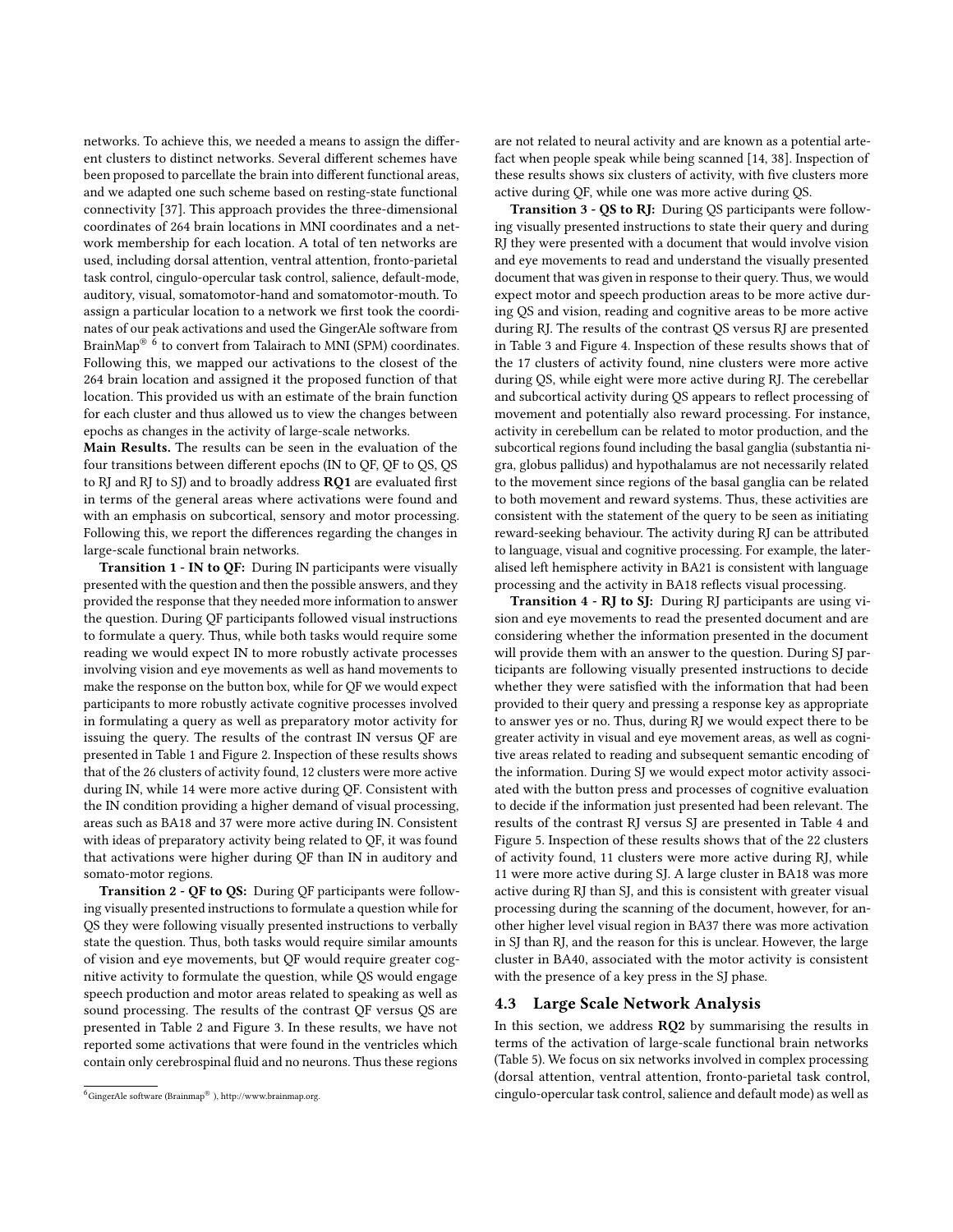networks. To achieve this, we needed a means to assign the different clusters to distinct networks. Several different schemes have been proposed to parcellate the brain into different functional areas, and we adapted one such scheme based on resting-state functional connectivity [\[37\]](#page-9-18). This approach provides the three-dimensional coordinates of 264 brain locations in MNI coordinates and a network membership for each location. A total of ten networks are used, including dorsal attention, ventral attention, fronto-parietal task control, cingulo-opercular task control, salience, default-mode, auditory, visual, somatomotor-hand and somatomotor-mouth. To assign a particular location to a network we first took the coordinates of our peak activations and used the GingerAle software from BrainMap $^{\circledR}$   $^6$  $^6$  to convert from Talairach to MNI (SPM) coordinates. Following this, we mapped our activations to the closest of the 264 brain location and assigned it the proposed function of that location. This provided us with an estimate of the brain function for each cluster and thus allowed us to view the changes between epochs as changes in the activity of large-scale networks.

Main Results. The results can be seen in the evaluation of the four transitions between different epochs (IN to QF, QF to QS, QS to RJ and RJ to SJ) and to broadly address RQ1 are evaluated first in terms of the general areas where activations were found and with an emphasis on subcortical, sensory and motor processing. Following this, we report the differences regarding the changes in large-scale functional brain networks.

Transition 1 - IN to QF: During IN participants were visually presented with the question and then the possible answers, and they provided the response that they needed more information to answer the question. During QF participants followed visual instructions to formulate a query. Thus, while both tasks would require some reading we would expect IN to more robustly activate processes involving vision and eye movements as well as hand movements to make the response on the button box, while for QF we would expect participants to more robustly activate cognitive processes involved in formulating a query as well as preparatory motor activity for issuing the query. The results of the contrast IN versus QF are presented in Table [1](#page-4-0) and Figure [2.](#page-4-1) Inspection of these results shows that of the 26 clusters of activity found, 12 clusters were more active during IN, while 14 were more active during QF. Consistent with the IN condition providing a higher demand of visual processing, areas such as BA18 and 37 were more active during IN. Consistent with ideas of preparatory activity being related to QF, it was found that activations were higher during QF than IN in auditory and somato-motor regions.

Transition 2 - QF to QS: During QF participants were following visually presented instructions to formulate a question while for QS they were following visually presented instructions to verbally state the question. Thus, both tasks would require similar amounts of vision and eye movements, but QF would require greater cognitive activity to formulate the question, while QS would engage speech production and motor areas related to speaking as well as sound processing. The results of the contrast QF versus QS are presented in Table [2](#page-6-0) and Figure [3.](#page-6-1) In these results, we have not reported some activations that were found in the ventricles which contain only cerebrospinal fluid and no neurons. Thus these regions

are not related to neural activity and are known as a potential artefact when people speak while being scanned [\[14,](#page-9-36) [38\]](#page-9-37). Inspection of these results shows six clusters of activity, with five clusters more active during QF, while one was more active during QS.

Transition 3 - QS to RJ: During QS participants were following visually presented instructions to state their query and during RJ they were presented with a document that would involve vision and eye movements to read and understand the visually presented document that was given in response to their query. Thus, we would expect motor and speech production areas to be more active during QS and vision, reading and cognitive areas to be more active during RJ. The results of the contrast QS versus RJ are presented in Table [3](#page-6-2) and Figure [4.](#page-6-3) Inspection of these results shows that of the 17 clusters of activity found, nine clusters were more active during QS, while eight were more active during RJ. The cerebellar and subcortical activity during QS appears to reflect processing of movement and potentially also reward processing. For instance, activity in cerebellum can be related to motor production, and the subcortical regions found including the basal ganglia (substantia nigra, globus pallidus) and hypothalamus are not necessarily related to the movement since regions of the basal ganglia can be related to both movement and reward systems. Thus, these activities are consistent with the statement of the query to be seen as initiating reward-seeking behaviour. The activity during RJ can be attributed to language, visual and cognitive processing. For example, the lateralised left hemisphere activity in BA21 is consistent with language processing and the activity in BA18 reflects visual processing.

Transition 4 - RJ to SJ: During RJ participants are using vision and eye movements to read the presented document and are considering whether the information presented in the document will provide them with an answer to the question. During SJ participants are following visually presented instructions to decide whether they were satisfied with the information that had been provided to their query and pressing a response key as appropriate to answer yes or no. Thus, during RJ we would expect there to be greater activity in visual and eye movement areas, as well as cognitive areas related to reading and subsequent semantic encoding of the information. During SJ we would expect motor activity associated with the button press and processes of cognitive evaluation to decide if the information just presented had been relevant. The results of the contrast RJ versus SJ are presented in Table [4](#page-7-1) and Figure [5.](#page-7-2) Inspection of these results shows that of the 22 clusters of activity found, 11 clusters were more active during RJ, while 11 were more active during SJ. A large cluster in BA18 was more active during RJ than SJ, and this is consistent with greater visual processing during the scanning of the document, however, for another higher level visual region in BA37 there was more activation in SJ than RJ, and the reason for this is unclear. However, the large cluster in BA40, associated with the motor activity is consistent with the presence of a key press in the SJ phase.

#### 4.3 Large Scale Network Analysis

In this section, we address RQ2 by summarising the results in terms of the activation of large-scale functional brain networks (Table [5\)](#page-7-0). We focus on six networks involved in complex processing (dorsal attention, ventral attention, fronto-parietal task control, cingulo-opercular task control, salience and default mode) as well as

<span id="page-5-0"></span> $^6$ GingerAle software (Brainmap®), [http://www.brainmap.org.](http://www.brainmap.org)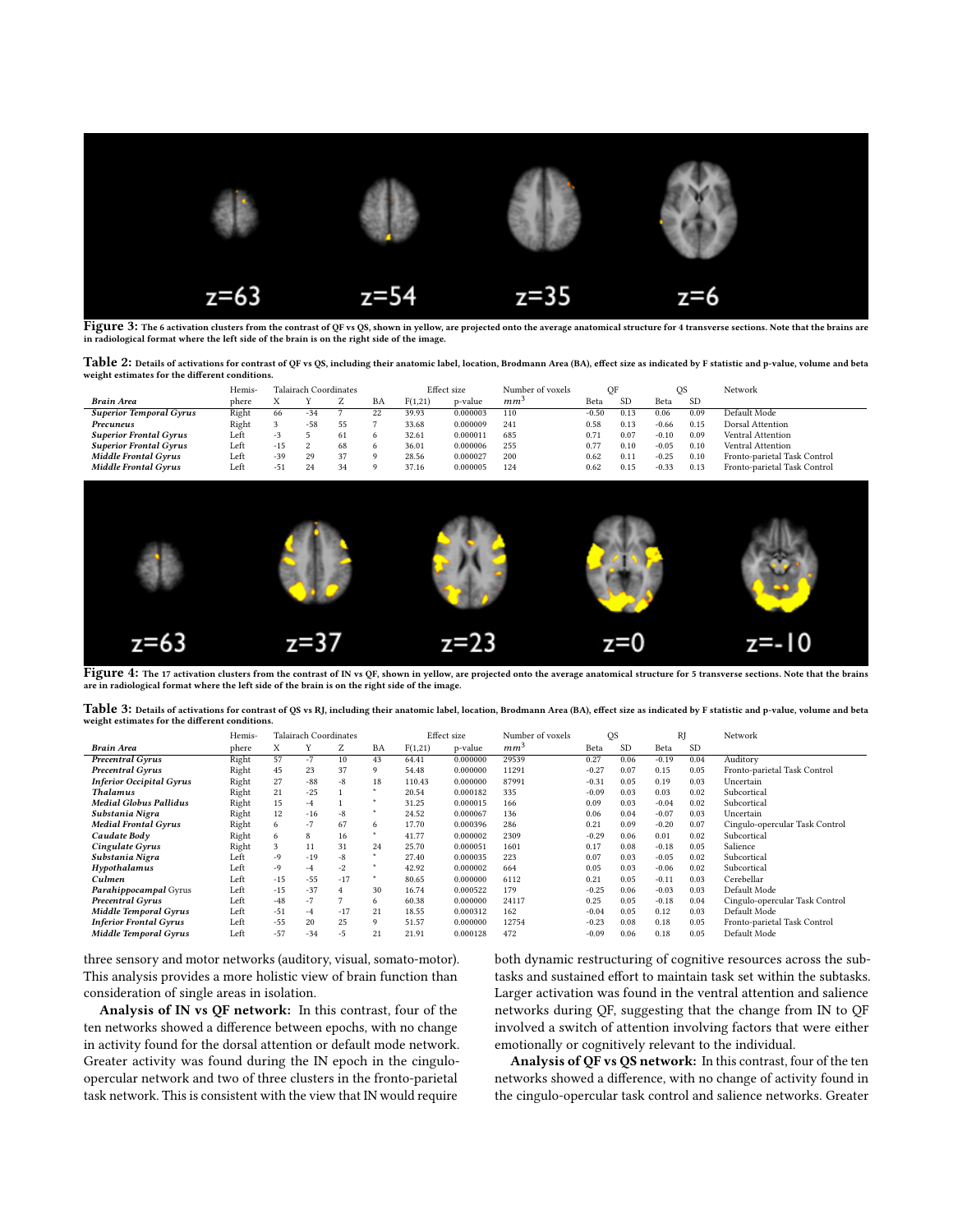<span id="page-6-1"></span>

Figure 3: The 6 activation clusters from the contrast of QF vs QS, shown in yellow, are projected onto the average anatomical structure for 4 transverse sections. Note that the brains are in radiological format where the left side of the brain is on the right side of the image.

<span id="page-6-0"></span> ${\bf Table~2:}$  Details of activations for contrast of QF vs QS, including their anatomic label, location, Brodmann Area (BA), effect size as indicated by F statistic and p-value, volume and beta weight estimates for the different conditions.

|                                | Hemis- |     | Talairach Coordinates |    |    | Effect size |          | Number of voxels | QF      |           | OS      |      | Network                      |
|--------------------------------|--------|-----|-----------------------|----|----|-------------|----------|------------------|---------|-----------|---------|------|------------------------------|
| <b>Brain Area</b>              | phere  |     |                       |    | BA | F(1,21)     | p-value  | mm               | Beta    | <b>SD</b> | Beta    | -SD  |                              |
| <b>Superior Temporal Gyrus</b> | Right  | 66  | $-34$                 |    | 22 | 39.93       | 0.000003 | 110              | $-0.50$ | 0.13      | 0.06    | 0.09 | Default Mode                 |
| Precuneus                      | Right  |     | $-58$                 |    |    | 33.68       | 0.000009 | 241              | 0.58    | 0.13      | $-0.66$ | 0.15 | Dorsal Attention             |
| <b>Superior Frontal Gyrus</b>  | Left   | -5  |                       | 61 |    | 32.61       | 0.000011 | 685              | 0.71    | 0.07      | $-0.10$ | 0.09 | Ventral Attention            |
| <b>Superior Frontal Gyrus</b>  | Left   | -15 |                       | 68 |    | 36.01       | 0.000006 | 255              | 0.77    | 0.10      | $-0.05$ | 0.10 | Ventral Attention            |
| <b>Middle Frontal Gyrus</b>    | Left   | -39 | 29                    |    |    | 28.56       | 0.000027 | 200              | 0.62    | 0.11      | $-0.25$ | 0.10 | Fronto-parietal Task Control |
| <b>Middle Frontal Gyrus</b>    | Left   | -51 |                       | 34 |    | 37.16       | 0.000005 | 124              | 0.62    | 0.15      | $-0.33$ | 0.13 | Fronto-parietal Task Control |

<span id="page-6-3"></span>

Figure 4: The 17 activation clusters from the contrast of IN vs QF, shown in yellow, are projected onto the average anatomical structure for 5 transverse sections. Note that the brains are in radiological format where the left side of the brain is on the right side of the image.

<span id="page-6-2"></span>Table 3: Details of activations for contrast of QS vs RJ, including their anatomic label, location, Brodmann Area (BA), effect size as indicated by F statistic and p-value, volume and beta weight estimates for the different conditions.

|                                 | Hemis- | <b>Talairach Coordinates</b> |       |                | Effect size |         | Number of voxels | QS              |         | RJ        |         | Network   |                                |
|---------------------------------|--------|------------------------------|-------|----------------|-------------|---------|------------------|-----------------|---------|-----------|---------|-----------|--------------------------------|
| <b>Brain Area</b>               | phere  | X                            |       | Z              | BA          | F(1,21) | p-value          | mm <sup>3</sup> | Beta    | <b>SD</b> | Beta    | <b>SD</b> |                                |
| Precentral Gyrus                | Right  | 57                           | $-7$  | 10             | 43          | 64.41   | 0.000000         | 29539           | 0.27    | 0.06      | $-0.19$ | 0.04      | Auditory                       |
| Precentral Gyrus                | Right  | 45                           | 23    | 37             | 9           | 54.48   | 0.000000         | 11291           | $-0.27$ | 0.07      | 0.15    | 0.05      | Fronto-parietal Task Control   |
| <b>Inferior Occipital Gyrus</b> | Right  | 27                           | $-88$ | $-8$           | 18          | 110.43  | 0.000000         | 87991           | $-0.31$ | 0.05      | 0.19    | 0.03      | Uncertain                      |
| <b>Thalamus</b>                 | Right  | 21                           | $-25$ |                | $\ast$      | 20.54   | 0.000182         | 335             | $-0.09$ | 0.03      | 0.03    | 0.02      | Subcortical                    |
| <b>Medial Globus Pallidus</b>   | Right  | 15                           | $-4$  |                | $\star$     | 31.25   | 0.000015         | 166             | 0.09    | 0.03      | $-0.04$ | 0.02      | Subcortical                    |
| Substania Nigra                 | Right  | 12                           | $-16$ | $-8$           | $\star$     | 24.52   | 0.000067         | 136             | 0.06    | 0.04      | $-0.07$ | 0.03      | Uncertain                      |
| <b>Medial Frontal Gyrus</b>     | Right  | 6                            | $-7$  | 67             | -6          | 17.70   | 0.000396         | 286             | 0.21    | 0.09      | $-0.20$ | 0.07      | Cingulo-opercular Task Control |
| Caudate Body                    | Right  | 6                            | 8     | 16             | $\star$     | 41.77   | 0.000002         | 2309            | $-0.29$ | 0.06      | 0.01    | 0.02      | Subcortical                    |
| <b>Cingulate Gyrus</b>          | Right  | 3                            | 11    | 31             | 24          | 25.70   | 0.000051         | 1601            | 0.17    | 0.08      | $-0.18$ | 0.05      | Salience                       |
| Substania Nigra                 | Left   | -9                           | $-19$ | $-8$           | $\star$     | 27.40   | 0.000035         | 223             | 0.07    | 0.03      | $-0.05$ | 0.02      | Subcortical                    |
| Hypothalamus                    | Left   | -9                           | -4    | $-2$           | $\star$     | 42.92   | 0.000002         | 664             | 0.05    | 0.03      | $-0.06$ | 0.02      | Subcortical                    |
| Culmen                          | Left   | $-15$                        | $-55$ | $-17$          | $\star$     | 80.65   | 0.000000         | 6112            | 0.21    | 0.05      | $-0.11$ | 0.03      | Cerebellar                     |
| Parahippocampal Gyrus           | Left   | $-15$                        | $-37$ | 4              | 30          | 16.74   | 0.000522         | 179             | $-0.25$ | 0.06      | $-0.03$ | 0.03      | Default Mode                   |
| Precentral Gyrus                | Left   | $-48$                        | $-7$  | $\overline{ }$ | -6          | 60.38   | 0.000000         | 24117           | 0.25    | 0.05      | $-0.18$ | 0.04      | Cingulo-opercular Task Control |
| Middle Temporal Gyrus           | Left   | $-51$                        | $-4$  | $-17$          | 21          | 18.55   | 0.000312         | 162             | $-0.04$ | 0.05      | 0.12    | 0.03      | Default Mode                   |
| <b>Inferior Frontal Gyrus</b>   | Left   | $-55$                        | 20    | 25             | 9           | 51.57   | 0.000000         | 12754           | $-0.23$ | 0.08      | 0.18    | 0.05      | Fronto-parietal Task Control   |
| Middle Temporal Gyrus           | Left   | $-57$                        | $-34$ | $-5$           | 21          | 21.91   | 0.000128         | 472             | $-0.09$ | 0.06      | 0.18    | 0.05      | Default Mode                   |

three sensory and motor networks (auditory, visual, somato-motor). This analysis provides a more holistic view of brain function than consideration of single areas in isolation.

Analysis of IN vs QF network: In this contrast, four of the ten networks showed a difference between epochs, with no change in activity found for the dorsal attention or default mode network. Greater activity was found during the IN epoch in the cinguloopercular network and two of three clusters in the fronto-parietal task network. This is consistent with the view that IN would require

both dynamic restructuring of cognitive resources across the subtasks and sustained effort to maintain task set within the subtasks. Larger activation was found in the ventral attention and salience networks during QF, suggesting that the change from IN to QF involved a switch of attention involving factors that were either emotionally or cognitively relevant to the individual.

Analysis of QF vs QS network: In this contrast, four of the ten networks showed a difference, with no change of activity found in the cingulo-opercular task control and salience networks. Greater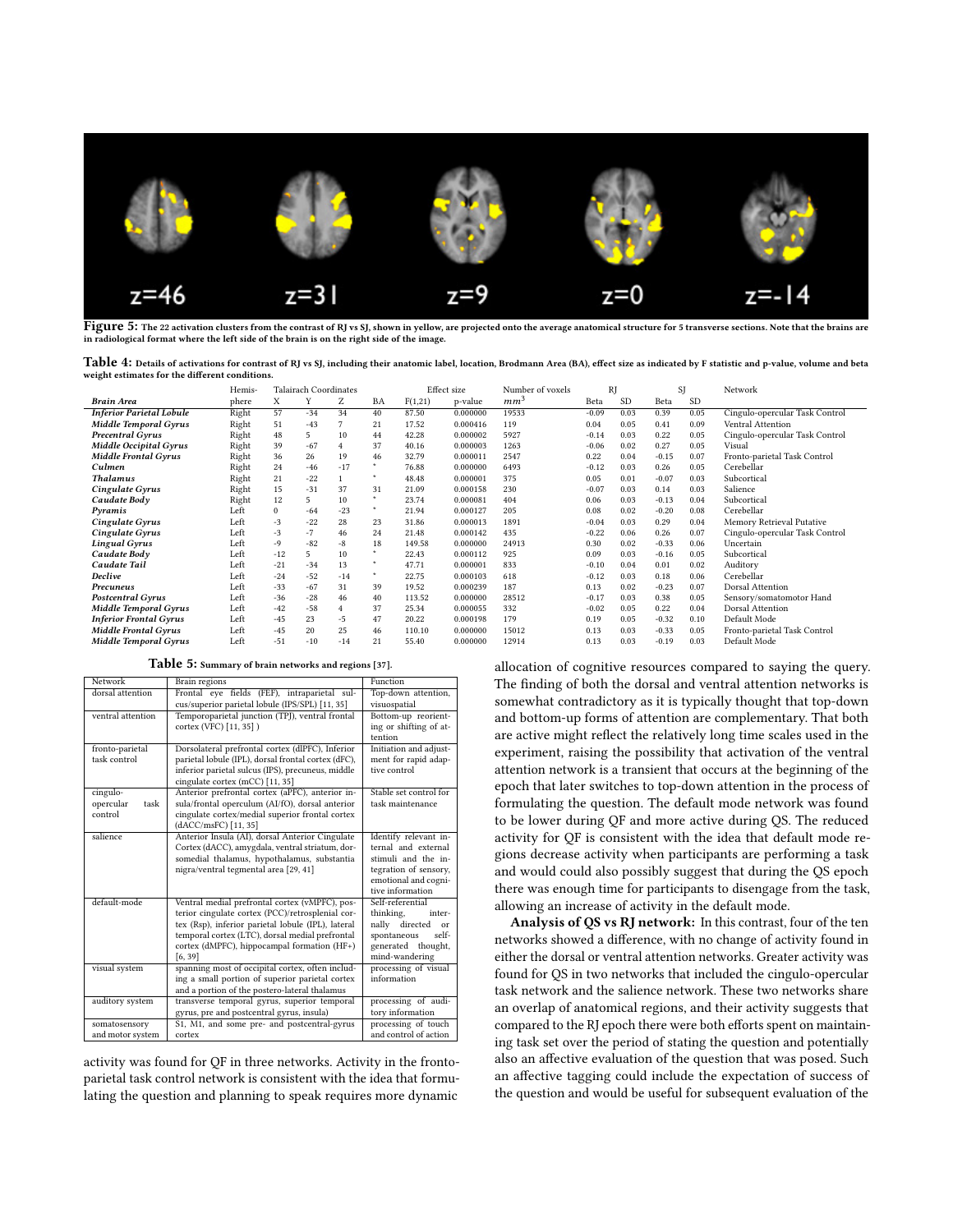<span id="page-7-2"></span>

Figure 5: The 22 activation clusters from the contrast of RJ vs SJ, shown in yellow, are projected onto the average anatomical structure for 5 transverse sections. Note that the brains are in radiological format where the left side of the brain is on the right side of the image.

<span id="page-7-1"></span>Table 4: Details of activations for contrast of RJ vs SJ, including their anatomic label, location, Brodmann Area (BA), effect size as indicated by F statistic and p-value, volume and beta weight estimates for the different conditions.

|                                 | Hemis- | <b>Talairach Coordinates</b> |       | Effect size |         | Number of voxels | RJ       |                 | SJ      |           | Network |           |                                |
|---------------------------------|--------|------------------------------|-------|-------------|---------|------------------|----------|-----------------|---------|-----------|---------|-----------|--------------------------------|
| Brain Area                      | phere  | X                            |       | Z           | BA      | F(1,21)          | p-value  | mm <sup>3</sup> | Beta    | <b>SD</b> | Beta    | <b>SD</b> |                                |
| <b>Inferior Parietal Lobule</b> | Right  | 57                           | $-34$ | 34          | 40      | 87.50            | 0.000000 | 19533           | $-0.09$ | 0.03      | 0.39    | 0.05      | Cingulo-opercular Task Control |
| Middle Temporal Gyrus           | Right  | 51                           | $-43$ |             | 21      | 17.52            | 0.000416 | 119             | 0.04    | 0.05      | 0.41    | 0.09      | Ventral Attention              |
| Precentral Gyrus                | Right  | 48                           | 5     | 10          | 44      | 42.28            | 0.000002 | 5927            | $-0.14$ | 0.03      | 0.22    | 0.05      | Cingulo-opercular Task Control |
| Middle Occipital Gyrus          | Right  | 39                           | $-67$ | 4           | 37      | 40.16            | 0.000003 | 1263            | $-0.06$ | 0.02      | 0.27    | 0.05      | Visual                         |
| Middle Frontal Gyrus            | Right  | 36                           | 26    | 19          | 46      | 32.79            | 0.000011 | 2547            | 0.22    | 0.04      | $-0.15$ | 0.07      | Fronto-parietal Task Control   |
| Culmen                          | Right  | 24                           | $-46$ | $-17$       | ×       | 76.88            | 0.000000 | 6493            | $-0.12$ | 0.03      | 0.26    | 0.05      | Cerebellar                     |
| <b>Thalamus</b>                 | Right  | 21                           | $-22$ |             | $\ast$  | 48.48            | 0.000001 | 375             | 0.05    | 0.01      | $-0.07$ | 0.03      | Subcortical                    |
| Cingulate Gyrus                 | Right  | 15                           | $-31$ | 37          | 31      | 21.09            | 0.000158 | 230             | $-0.07$ | 0.03      | 0.14    | 0.03      | Salience                       |
| Caudate Body                    | Right  | 12                           | 5     | 10          | ×       | 23.74            | 0.000081 | 404             | 0.06    | 0.03      | $-0.13$ | 0.04      | Subcortical                    |
| Pyramis                         | Left   | $\mathbf{0}$                 | $-64$ | $-23$       | ×       | 21.94            | 0.000127 | 205             | 0.08    | 0.02      | $-0.20$ | 0.08      | Cerebellar                     |
| Cingulate Gyrus                 | Left   | $-3$                         | $-22$ | 28          | 23      | 31.86            | 0.000013 | 1891            | $-0.04$ | 0.03      | 0.29    | 0.04      | Memory Retrieval Putative      |
| Cingulate Gyrus                 | Left   | $-3$                         | $-7$  | 46          | 24      | 21.48            | 0.000142 | 435             | $-0.22$ | 0.06      | 0.26    | 0.07      | Cingulo-opercular Task Control |
| <b>Lingual Gyrus</b>            | Left   | -9                           | $-82$ | -8          | 18      | 149.58           | 0.000000 | 24913           | 0.30    | 0.02      | $-0.33$ | 0.06      | Uncertain                      |
| Caudate Body                    | Left   | $-12$                        |       | 10          | ×       | 22.43            | 0.000112 | 925             | 0.09    | 0.03      | $-0.16$ | 0.05      | Subcortical                    |
| Caudate Tail                    | Left   | $-21$                        | $-34$ | 13          | ×       | 47.71            | 0.000001 | 833             | $-0.10$ | 0.04      | 0.01    | 0.02      | Auditory                       |
| Declive                         | Left   | $-24$                        | $-52$ | $-14$       | $\star$ | 22.75            | 0.000103 | 618             | $-0.12$ | 0.03      | 0.18    | 0.06      | Cerebellar                     |
| Precuneus                       | Left   | $-33$                        | $-67$ | 31          | 39      | 19.52            | 0.000239 | 187             | 0.13    | 0.02      | $-0.23$ | 0.07      | Dorsal Attention               |
| Postcentral Gyrus               | Left   | $-36$                        | $-28$ | 46          | 40      | 113.52           | 0.000000 | 28512           | $-0.17$ | 0.03      | 0.38    | 0.05      | Sensory/somatomotor Hand       |
| Middle Temporal Gyrus           | Left   | $-42$                        | $-58$ | 4           | 37      | 25.34            | 0.000055 | 332             | $-0.02$ | 0.05      | 0.22    | 0.04      | Dorsal Attention               |
| <b>Inferior Frontal Gyrus</b>   | Left   | $-45$                        | 23    | $-5$        | 47      | 20.22            | 0.000198 | 179             | 0.19    | 0.05      | $-0.32$ | 0.10      | Default Mode                   |
| Middle Frontal Gyrus            | Left   | $-45$                        | 20    | 25          | 46      | 110.10           | 0.000000 | 15012           | 0.13    | 0.03      | $-0.33$ | 0.05      | Fronto-parietal Task Control   |
| Middle Temporal Gyrus           | Left   | $-51$                        | $-10$ | $-14$       | 21      | 55.40            | 0.000000 | 12914           | 0.13    | 0.03      | $-0.19$ | 0.03      | Default Mode                   |

Table 5: Summary of brain networks and regions [\[37\]](#page-9-18).

<span id="page-7-0"></span>

| Network                         | Brain regions                                                                        | Function                          |  |  |  |  |
|---------------------------------|--------------------------------------------------------------------------------------|-----------------------------------|--|--|--|--|
| dorsal attention                | Frontal eye fields (FEF), intraparietal sul-                                         | Top-down attention,               |  |  |  |  |
|                                 | cus/superior parietal lobule (IPS/SPL) [11, 35]                                      | visuospatial                      |  |  |  |  |
| ventral attention               | Temporoparietal junction (TPJ), ventral frontal                                      | Bottom-up reorient-               |  |  |  |  |
|                                 | cortex (VFC) [11, 35])                                                               | ing or shifting of at-<br>tention |  |  |  |  |
|                                 |                                                                                      |                                   |  |  |  |  |
| fronto-parietal<br>task control | Dorsolateral prefrontal cortex (dlPFC), Inferior                                     | Initiation and adjust-            |  |  |  |  |
|                                 | parietal lobule (IPL), dorsal frontal cortex (dFC),                                  | ment for rapid adap-              |  |  |  |  |
|                                 | inferior parietal sulcus (IPS), precuneus, middle<br>cingulate cortex (mCC) [11, 35] | tive control                      |  |  |  |  |
| cingulo-                        | Anterior prefrontal cortex (aPFC), anterior in-                                      | Stable set control for            |  |  |  |  |
| opercular<br>task               | sula/frontal operculum (AI/fO), dorsal anterior                                      | task maintenance                  |  |  |  |  |
| control                         | cingulate cortex/medial superior frontal cortex                                      |                                   |  |  |  |  |
|                                 | (dACC/msFC) [11, 35]                                                                 |                                   |  |  |  |  |
| salience                        | Anterior Insula (AI), dorsal Anterior Cingulate                                      | Identify relevant in-             |  |  |  |  |
|                                 | Cortex (dACC), amygdala, ventral striatum, dor-                                      | ternal and external               |  |  |  |  |
|                                 | somedial thalamus, hypothalamus, substantia                                          | stimuli and the in-               |  |  |  |  |
|                                 | nigra/ventral tegmental area [29, 41]                                                | tegration of sensory,             |  |  |  |  |
|                                 |                                                                                      | emotional and cogni-              |  |  |  |  |
|                                 |                                                                                      | tive information                  |  |  |  |  |
| default-mode                    | Ventral medial prefrontal cortex (vMPFC), pos-                                       | Self-referential                  |  |  |  |  |
|                                 | terior cingulate cortex (PCC)/retrosplenial cor-                                     | thinking.<br>inter-               |  |  |  |  |
|                                 | tex (Rsp), inferior parietal lobule (IPL), lateral                                   | nally directed<br>or              |  |  |  |  |
|                                 | temporal cortex (LTC), dorsal medial prefrontal                                      | spontaneous<br>self-              |  |  |  |  |
|                                 | cortex (dMPFC), hippocampal formation (HF+)                                          | generated thought,                |  |  |  |  |
|                                 | [6, 39]                                                                              | mind-wandering                    |  |  |  |  |
| visual system                   | spanning most of occipital cortex, often includ-                                     | processing of visual              |  |  |  |  |
|                                 | ing a small portion of superior parietal cortex                                      | information                       |  |  |  |  |
|                                 | and a portion of the postero-lateral thalamus                                        |                                   |  |  |  |  |
| auditory system                 | transverse temporal gyrus, superior temporal                                         | processing of audi-               |  |  |  |  |
|                                 | gyrus, pre and postcentral gyrus, insula)                                            | tory information                  |  |  |  |  |
| somatosensory                   | S1, M1, and some pre- and postcentral-gyrus                                          | processing of touch               |  |  |  |  |
| and motor system                | cortex                                                                               | and control of action             |  |  |  |  |

activity was found for QF in three networks. Activity in the frontoparietal task control network is consistent with the idea that formulating the question and planning to speak requires more dynamic

allocation of cognitive resources compared to saying the query. The finding of both the dorsal and ventral attention networks is somewhat contradictory as it is typically thought that top-down and bottom-up forms of attention are complementary. That both are active might reflect the relatively long time scales used in the experiment, raising the possibility that activation of the ventral attention network is a transient that occurs at the beginning of the epoch that later switches to top-down attention in the process of formulating the question. The default mode network was found to be lower during QF and more active during QS. The reduced activity for QF is consistent with the idea that default mode regions decrease activity when participants are performing a task and would could also possibly suggest that during the QS epoch there was enough time for participants to disengage from the task, allowing an increase of activity in the default mode.

Analysis of QS vs RJ network: In this contrast, four of the ten networks showed a difference, with no change of activity found in either the dorsal or ventral attention networks. Greater activity was found for QS in two networks that included the cingulo-opercular task network and the salience network. These two networks share an overlap of anatomical regions, and their activity suggests that compared to the RJ epoch there were both efforts spent on maintaining task set over the period of stating the question and potentially also an affective evaluation of the question that was posed. Such an affective tagging could include the expectation of success of the question and would be useful for subsequent evaluation of the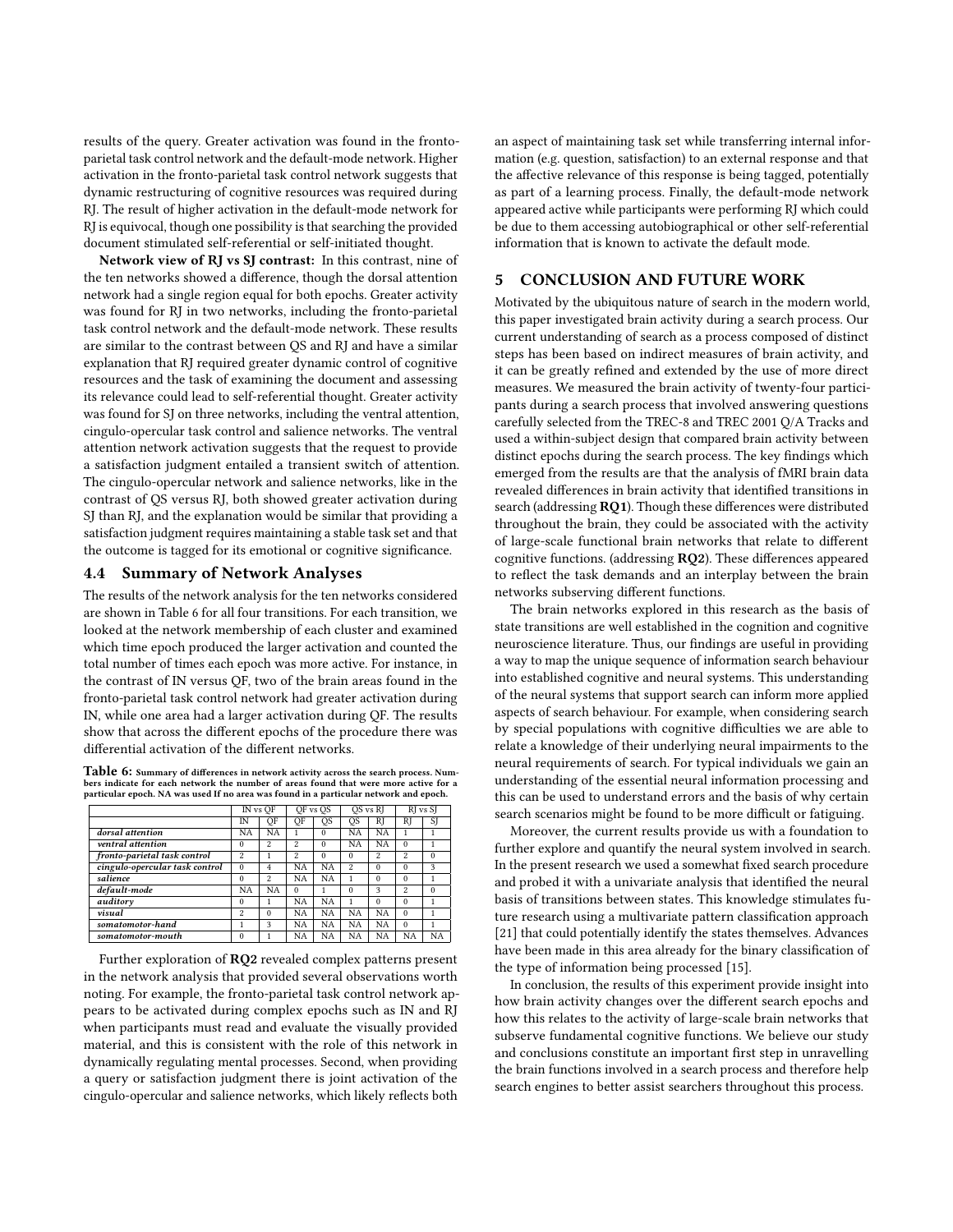results of the query. Greater activation was found in the frontoparietal task control network and the default-mode network. Higher activation in the fronto-parietal task control network suggests that dynamic restructuring of cognitive resources was required during RJ. The result of higher activation in the default-mode network for RJ is equivocal, though one possibility is that searching the provided document stimulated self-referential or self-initiated thought.

Network view of RJ vs SJ contrast: In this contrast, nine of the ten networks showed a difference, though the dorsal attention network had a single region equal for both epochs. Greater activity was found for RJ in two networks, including the fronto-parietal task control network and the default-mode network. These results are similar to the contrast between QS and RJ and have a similar explanation that RJ required greater dynamic control of cognitive resources and the task of examining the document and assessing its relevance could lead to self-referential thought. Greater activity was found for SJ on three networks, including the ventral attention, cingulo-opercular task control and salience networks. The ventral attention network activation suggests that the request to provide a satisfaction judgment entailed a transient switch of attention. The cingulo-opercular network and salience networks, like in the contrast of QS versus RJ, both showed greater activation during SJ than RJ, and the explanation would be similar that providing a satisfaction judgment requires maintaining a stable task set and that the outcome is tagged for its emotional or cognitive significance.

#### 4.4 Summary of Network Analyses

The results of the network analysis for the ten networks considered are shown in Table [6](#page-8-0) for all four transitions. For each transition, we looked at the network membership of each cluster and examined which time epoch produced the larger activation and counted the total number of times each epoch was more active. For instance, in the contrast of IN versus QF, two of the brain areas found in the fronto-parietal task control network had greater activation during IN, while one area had a larger activation during QF. The results show that across the different epochs of the procedure there was differential activation of the different networks.

<span id="page-8-0"></span>Table 6: Summary of differences in network activity across the search process. Numbers indicate for each network the number of areas found that were more active for a particular epoch. NA was used If no area was found in a particular network and epoch.

|                                |           | IN vs OF       |           | OF vs OS  | OS vs RJ       |                         | RJ vs SJ                |          |
|--------------------------------|-----------|----------------|-----------|-----------|----------------|-------------------------|-------------------------|----------|
|                                | IN        | QF             | QF        | QS        | <b>OS</b>      | RJ                      | RJ                      | SJ       |
| dorsal attention               | <b>NA</b> | <b>NA</b>      |           | $\theta$  | <b>NA</b>      | <b>NA</b>               |                         |          |
| ventral attention              | 0         | $\overline{2}$ | 2         | $\Omega$  | <b>NA</b>      | <b>NA</b>               | $\Omega$                |          |
| fronto-parietal task control   | 2         |                | 2         | $\Omega$  | $\Omega$       | $\overline{\mathbf{c}}$ | $\overline{\mathbf{c}}$ | $\theta$ |
| cingulo-opercular task control | $\theta$  | 4              | NA        | NA        | $\overline{c}$ | $\theta$                | $\theta$                | 3        |
| salience                       | $\theta$  | $\overline{2}$ | <b>NA</b> | <b>NA</b> |                | $\theta$                | $\theta$                |          |
| default-mode                   | <b>NA</b> | <b>NA</b>      | $\Omega$  |           | $\Omega$       | 3                       | $\overline{2}$          | $\Omega$ |
| auditory                       | $\theta$  |                | <b>NA</b> | <b>NA</b> | 1              | $\Omega$                | $\Omega$                |          |
| visual                         | 2         | $\Omega$       | <b>NA</b> | NA        | NA             | <b>NA</b>               | $\theta$                |          |
| somatomotor-hand               |           | 3              | <b>NA</b> | NA        | NA             | <b>NA</b>               | $\theta$                |          |
| somatomotor-mouth              | $\theta$  |                | NA        | NA        | NA             | NA                      | NA                      | NA       |

Further exploration of RQ2 revealed complex patterns present in the network analysis that provided several observations worth noting. For example, the fronto-parietal task control network appears to be activated during complex epochs such as IN and RJ when participants must read and evaluate the visually provided material, and this is consistent with the role of this network in dynamically regulating mental processes. Second, when providing a query or satisfaction judgment there is joint activation of the cingulo-opercular and salience networks, which likely reflects both

an aspect of maintaining task set while transferring internal information (e.g. question, satisfaction) to an external response and that the affective relevance of this response is being tagged, potentially as part of a learning process. Finally, the default-mode network appeared active while participants were performing RJ which could be due to them accessing autobiographical or other self-referential information that is known to activate the default mode.

#### 5 CONCLUSION AND FUTURE WORK

Motivated by the ubiquitous nature of search in the modern world, this paper investigated brain activity during a search process. Our current understanding of search as a process composed of distinct steps has been based on indirect measures of brain activity, and it can be greatly refined and extended by the use of more direct measures. We measured the brain activity of twenty-four participants during a search process that involved answering questions carefully selected from the TREC-8 and TREC 2001 Q/A Tracks and used a within-subject design that compared brain activity between distinct epochs during the search process. The key findings which emerged from the results are that the analysis of fMRI brain data revealed differences in brain activity that identified transitions in search (addressing RQ1). Though these differences were distributed throughout the brain, they could be associated with the activity of large-scale functional brain networks that relate to different cognitive functions. (addressing RQ2). These differences appeared to reflect the task demands and an interplay between the brain networks subserving different functions.

The brain networks explored in this research as the basis of state transitions are well established in the cognition and cognitive neuroscience literature. Thus, our findings are useful in providing a way to map the unique sequence of information search behaviour into established cognitive and neural systems. This understanding of the neural systems that support search can inform more applied aspects of search behaviour. For example, when considering search by special populations with cognitive difficulties we are able to relate a knowledge of their underlying neural impairments to the neural requirements of search. For typical individuals we gain an understanding of the essential neural information processing and this can be used to understand errors and the basis of why certain search scenarios might be found to be more difficult or fatiguing.

Moreover, the current results provide us with a foundation to further explore and quantify the neural system involved in search. In the present research we used a somewhat fixed search procedure and probed it with a univariate analysis that identified the neural basis of transitions between states. This knowledge stimulates future research using a multivariate pattern classification approach [\[21\]](#page-9-44) that could potentially identify the states themselves. Advances have been made in this area already for the binary classification of the type of information being processed [\[15\]](#page-9-45).

In conclusion, the results of this experiment provide insight into how brain activity changes over the different search epochs and how this relates to the activity of large-scale brain networks that subserve fundamental cognitive functions. We believe our study and conclusions constitute an important first step in unravelling the brain functions involved in a search process and therefore help search engines to better assist searchers throughout this process.